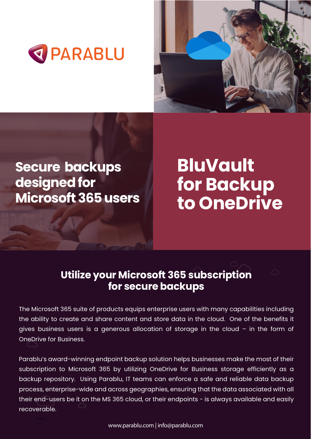**BluVault for Backup to OneDrive**







# **Secure backups designed for Microsoft 365 users**

## **Utilize your Microsoft 365 subscription for secure backups**

The Microsoft 365 suite of products equips enterprise users with many capabilities including the ability to create and share content and store data in the cloud. One of the benefits it gives business users is a generous allocation of storage in the cloud – in the form of

#### OneDrive for Business.

Parablu's award-winning endpoint backup solution helps businesses make the most of their subscription to Microsoft 365 by utilizing OneDrive for Business storage efficiently as a backup repository. Using Parablu, IT teams can enforce a safe and reliable data backup process, enterprise-wide and across geographies, ensuring that the data associated with all their end-users be it on the MS 365 cloud, or their endpoints - is always available and easily recoverable.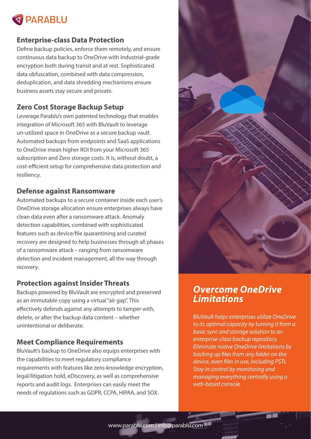

#### **Enterprise-class Data Protection**

Define backup policies, enforce them remotely, and ensure continuous data backup to OneDrive with industrial-grade encryption both during transit and at rest. Sophisticated data obfuscation, combined with data compression, deduplication, and data shredding mechanisms ensure business assets stay secure and private.

#### **Zero Cost Storage Backup Setup**



Leverage Parablu's own patented technology that enables integration of Microsoft 365 with BluVault to leverage un-utilized space in OneDrive as a secure backup vault. Automated backups from endpoints and SaaS applications to OneDrive mean higher ROI from your Microsoft 365 subscription and Zero storage costs. It is, without doubt, a cost-efficient setup for comprehensive data protection and resiliency.

#### **Defense against Ransomware**

Automated backups to a secure container inside each user's OneDrive storage allocation ensure enterprises always have clean data even after a ransomware attack. Anomaly detection capabilities, combined with sophisticated features such as device/file quarantining and curated recovery are designed to help businesses through all phases of a ransomware attack – ranging from ransomware detection and incident management, all the way through recovery.

#### **Protection against Insider Threats**

Backups powered by BluVault are encrypted and preserved as an immutable copy using a virtual "air gap". This effectively defends against any attempts to tamper with, delete, or alter the backup data content – whether unintentional or deliberate.

#### **Meet Compliance Requirements**

BluVault's backup to OneDrive also equips enterprises with the capabilities to meet regulatory compliance requirements with features like zero-knowledge encryption, legal/litigation hold, eDiscovery, as well as comprehensive reports and audit logs. Enterprises can easily meet the needs of regulations such as GDPR, CCPA, HIPAA, and SOX.

## *Overcome OneDrive Limitations*

*BluVault helps enterprises utilize OneDrive to its optimal capacity by turning it from a basic sync and storage solution to an enterprise-class backup repository. Eliminate native OneDrive limitations by*  backing up files from any folder on the device, even files in use, including PSTs. *Stay in control by monitoring and managing everything centrally using a web-based console.*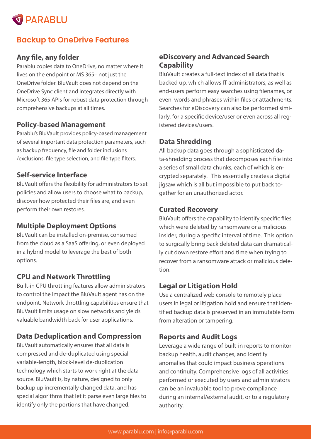

## **Backup to OneDrive Features**

## Any file, any folder

Parablu's BluVault provides policy-based management of several important data protection parameters, such as backup frequency, file and folder inclusions /exclusions, file type selection, and file type filters.

Parablu copies data to OneDrive, no matter where it lives on the endpoint or MS 365– not just the OneDrive folder. BluVault does not depend on the OneDrive Sync client and integrates directly with Microsoft 365 APIs for robust data protection through comprehensive backups at all times.

### **Policy-based Management**

BluVault offers the flexibility for administrators to set policies and allow users to choose what to backup, discover how protected their files are, and even perform their own restores.

## **Self-service Interface**

#### **Multiple Deployment Options**

BluVault can be installed on-premise, consumed from the cloud as a SaaS offering, or even deployed in a hybrid model to leverage the best of both options.

#### **CPU and Network Throttling**

larly, for a specific device/user or even across all registered devices/users.

Built-in CPU throttling features allow administrators to control the impact the BluVault agent has on the endpoint. Network throttling capabilities ensure that BluVault limits usage on slow networks and yields valuable bandwidth back for user applications.

#### **Data Deduplication and Compression**

BluVault offers the capability to identify specific files which were deleted by ransomware or a malicious insider, during a specific interval of time. This option to surgically bring back deleted data can dramatically cut down restore effort and time when trying to recover from a ransomware attack or malicious deletion.

BluVault automatically ensures that all data is compressed and de-duplicated using special variable-length, block-level de-duplication technology which starts to work right at the data source. BluVault is, by nature, designed to only backup up incrementally changed data, and has special algorithms that let it parse even large files to identify only the portions that have changed.

## **eDiscovery and Advanced Search Capability**

BluVault creates a full-text index of all data that is backed up, which allows IT administrators, as well as end-users perform easy searches using filenames, or even words and phrases within files or attachments. Searches for eDiscovery can also be performed simi-

## **Data Shredding**

All backup data goes through a sophisticated data-shredding process that decomposes each file into a series of small data chunks, each of which is encrypted separately. This essentially creates a digital jigsaw which is all but impossible to put back together for an unauthorized actor.

#### **Curated Recovery**

## **Legal or Litigation Hold**

Use a centralized web console to remotely place users in legal or litigation hold and ensure that identified backup data is preserved in an immutable form from alteration or tampering.

#### **Reports and Audit Logs**

Leverage a wide range of built-in reports to monitor backup health, audit changes, and identify anomalies that could impact business operations and continuity. Comprehensive logs of all activities performed or executed by users and administrators can be an invaluable tool to prove compliance during an internal/external audit, or to a regulatory authority.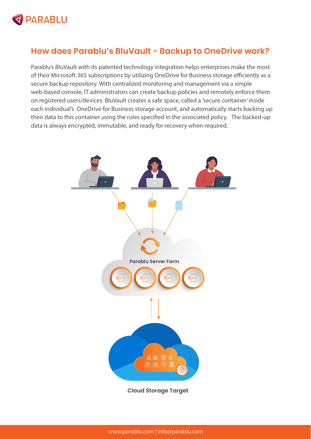#### **Cloud Storage Target**



Parablu's BluVault with its patented technology integration helps enterprises make the most of their Microsoft 365 subscriptions by utilizing OneDrive for Business storage efficiently as a secure backup repository. With centralized monitoring and management via a simple web-based console, IT administrators can create backup policies and remotely enforce them on registered users/devices. BluVault creates a safe space, called a 'secure container' inside each individual's OneDrive for Business storage account, and automatically starts backing up

their data to this container using the rules specified in the associated policy. The backed-up data is always encrypted, immutable, and ready for recovery when required.





## **How does Parablu's BluVault - Backup to OneDrive work?**